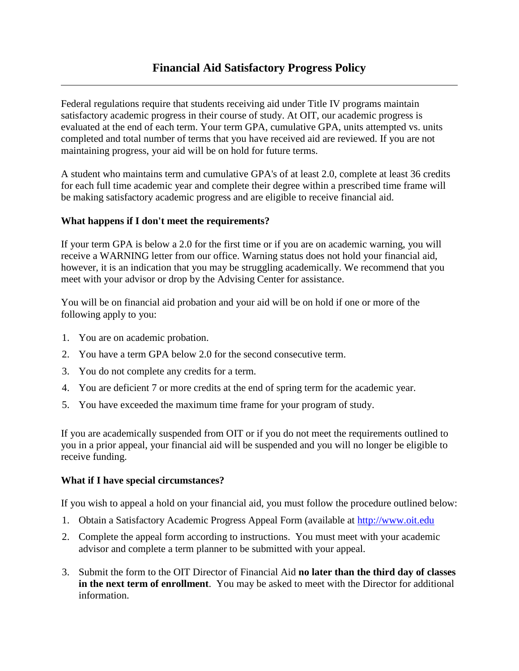Federal regulations require that students receiving aid under Title IV programs maintain satisfactory academic progress in their course of study. At OIT, our academic progress is evaluated at the end of each term. Your term GPA, cumulative GPA, units attempted vs. units completed and total number of terms that you have received aid are reviewed. If you are not maintaining progress, your aid will be on hold for future terms.

A student who maintains term and cumulative GPA's of at least 2.0, complete at least 36 credits for each full time academic year and complete their degree within a prescribed time frame will be making satisfactory academic progress and are eligible to receive financial aid.

#### **What happens if I don't meet the requirements?**

If your term GPA is below a 2.0 for the first time or if you are on academic warning, you will receive a WARNING letter from our office. Warning status does not hold your financial aid, however, it is an indication that you may be struggling academically. We recommend that you meet with your advisor or drop by the Advising Center for assistance.

You will be on financial aid probation and your aid will be on hold if one or more of the following apply to you:

- 1. You are on academic probation.
- 2. You have a term GPA below 2.0 for the second consecutive term.
- 3. You do not complete any credits for a term.
- 4. You are deficient 7 or more credits at the end of spring term for the academic year.
- 5. You have exceeded the maximum time frame for your program of study.

If you are academically suspended from OIT or if you do not meet the requirements outlined to you in a prior appeal, your financial aid will be suspended and you will no longer be eligible to receive funding.

#### **What if I have special circumstances?**

If you wish to appeal a hold on your financial aid, you must follow the procedure outlined below:

- 1. Obtain a Satisfactory Academic Progress Appeal Form (available at [http://www.oit.edu](http://www.oit.edu/)
- 2. Complete the appeal form according to instructions. You must meet with your academic advisor and complete a term planner to be submitted with your appeal.
- 3. Submit the form to the OIT Director of Financial Aid **no later than the third day of classes in the next term of enrollment**. You may be asked to meet with the Director for additional information.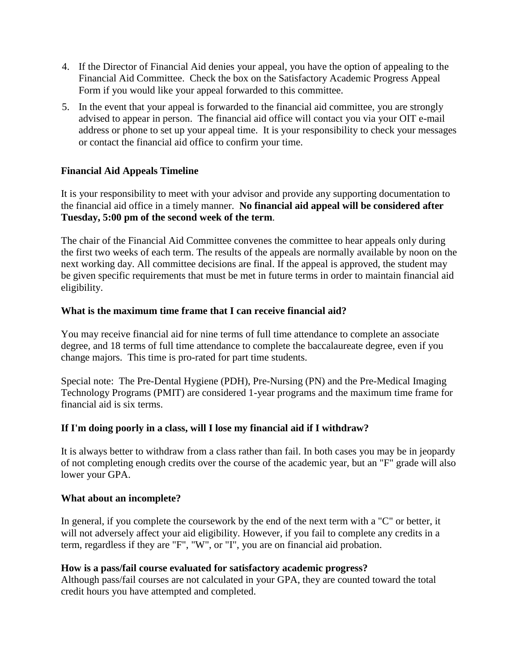- 4. If the Director of Financial Aid denies your appeal, you have the option of appealing to the Financial Aid Committee. Check the box on the Satisfactory Academic Progress Appeal Form if you would like your appeal forwarded to this committee.
- 5. In the event that your appeal is forwarded to the financial aid committee, you are strongly advised to appear in person. The financial aid office will contact you via your OIT e-mail address or phone to set up your appeal time. It is your responsibility to check your messages or contact the financial aid office to confirm your time.

## **Financial Aid Appeals Timeline**

It is your responsibility to meet with your advisor and provide any supporting documentation to the financial aid office in a timely manner. **No financial aid appeal will be considered after Tuesday, 5:00 pm of the second week of the term**.

The chair of the Financial Aid Committee convenes the committee to hear appeals only during the first two weeks of each term. The results of the appeals are normally available by noon on the next working day. All committee decisions are final. If the appeal is approved, the student may be given specific requirements that must be met in future terms in order to maintain financial aid eligibility.

### **What is the maximum time frame that I can receive financial aid?**

You may receive financial aid for nine terms of full time attendance to complete an associate degree, and 18 terms of full time attendance to complete the baccalaureate degree, even if you change majors. This time is pro-rated for part time students.

Special note: The Pre-Dental Hygiene (PDH), Pre-Nursing (PN) and the Pre-Medical Imaging Technology Programs (PMIT) are considered 1-year programs and the maximum time frame for financial aid is six terms.

### **If I'm doing poorly in a class, will I lose my financial aid if I withdraw?**

It is always better to withdraw from a class rather than fail. In both cases you may be in jeopardy of not completing enough credits over the course of the academic year, but an "F" grade will also lower your GPA.

#### **What about an incomplete?**

In general, if you complete the coursework by the end of the next term with a "C" or better, it will not adversely affect your aid eligibility. However, if you fail to complete any credits in a term, regardless if they are "F", "W", or "I", you are on financial aid probation.

### **How is a pass/fail course evaluated for satisfactory academic progress?**

Although pass/fail courses are not calculated in your GPA, they are counted toward the total credit hours you have attempted and completed.